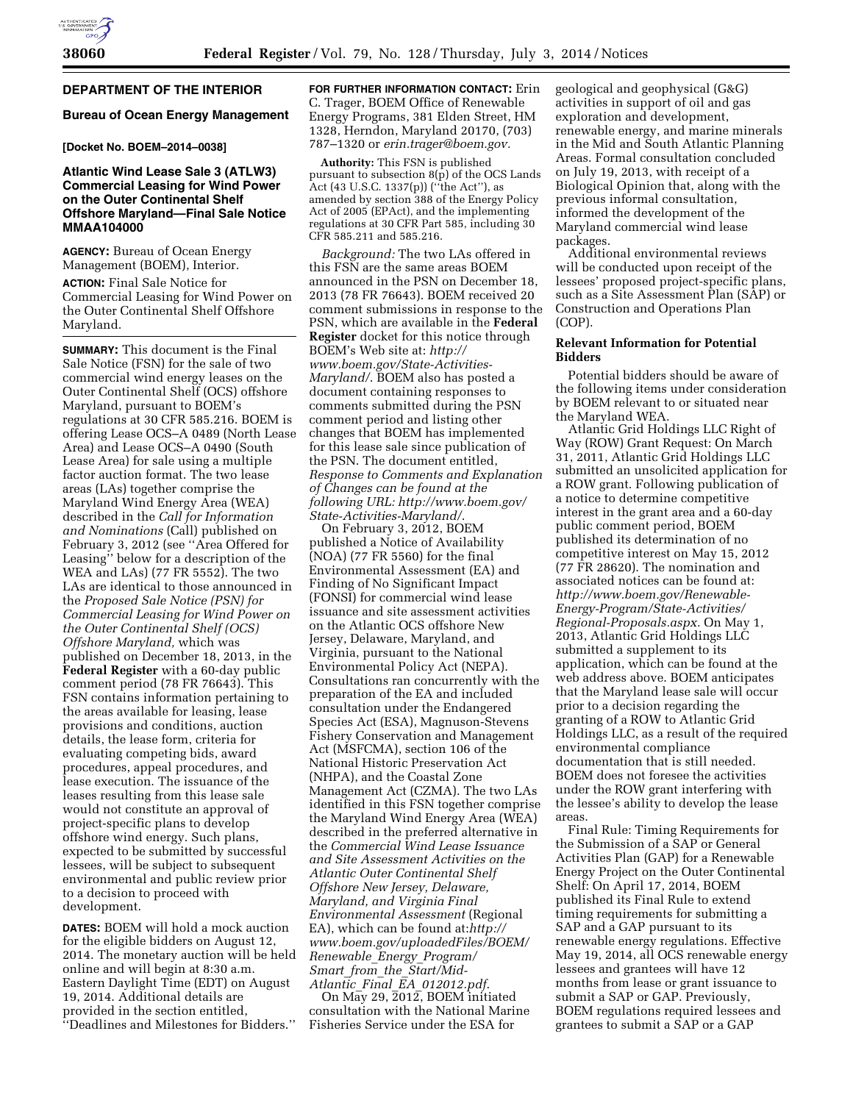# **DEPARTMENT OF THE INTERIOR**

# **Bureau of Ocean Energy Management**

# **[Docket No. BOEM–2014–0038]**

# **Atlantic Wind Lease Sale 3 (ATLW3) Commercial Leasing for Wind Power on the Outer Continental Shelf Offshore Maryland—Final Sale Notice MMAA104000**

**AGENCY:** Bureau of Ocean Energy Management (BOEM), Interior.

**ACTION:** Final Sale Notice for Commercial Leasing for Wind Power on the Outer Continental Shelf Offshore Maryland.

**SUMMARY:** This document is the Final Sale Notice (FSN) for the sale of two commercial wind energy leases on the Outer Continental Shelf (OCS) offshore Maryland, pursuant to BOEM's regulations at 30 CFR 585.216. BOEM is offering Lease OCS–A 0489 (North Lease Area) and Lease OCS–A 0490 (South Lease Area) for sale using a multiple factor auction format. The two lease areas (LAs) together comprise the Maryland Wind Energy Area (WEA) described in the *Call for Information and Nominations* (Call) published on February 3, 2012 (see ''Area Offered for Leasing'' below for a description of the WEA and LAs) (77 FR 5552). The two LAs are identical to those announced in the *Proposed Sale Notice (PSN) for Commercial Leasing for Wind Power on the Outer Continental Shelf (OCS) Offshore Maryland,* which was published on December 18, 2013, in the **Federal Register** with a 60-day public comment period (78 FR 76643). This FSN contains information pertaining to the areas available for leasing, lease provisions and conditions, auction details, the lease form, criteria for evaluating competing bids, award procedures, appeal procedures, and lease execution. The issuance of the leases resulting from this lease sale would not constitute an approval of project-specific plans to develop offshore wind energy. Such plans, expected to be submitted by successful lessees, will be subject to subsequent environmental and public review prior to a decision to proceed with development.

**DATES:** BOEM will hold a mock auction for the eligible bidders on August 12, 2014. The monetary auction will be held online and will begin at 8:30 a.m. Eastern Daylight Time (EDT) on August 19, 2014. Additional details are provided in the section entitled, ''Deadlines and Milestones for Bidders.''

**FOR FURTHER INFORMATION CONTACT:** Erin C. Trager, BOEM Office of Renewable Energy Programs, 381 Elden Street, HM 1328, Herndon, Maryland 20170, (703) 787–1320 or *[erin.trager@boem.gov.](mailto:erin.trager@boem.gov)* 

**Authority:** This FSN is published pursuant to subsection  $8(p)$  of the OCS Lands Act (43 U.S.C. 1337(p)) (''the Act''), as amended by section 388 of the Energy Policy Act of 2005 (EPAct), and the implementing regulations at 30 CFR Part 585, including 30 CFR 585.211 and 585.216.

*Background:* The two LAs offered in this FSN are the same areas BOEM announced in the PSN on December 18, 2013 (78 FR 76643). BOEM received 20 comment submissions in response to the PSN, which are available in the **Federal Register** docket for this notice through BOEM's Web site at: *[http://](http://www.boem.gov/State-Activities-Maryland/)  [www.boem.gov/State-Activities-](http://www.boem.gov/State-Activities-Maryland/)[Maryland/](http://www.boem.gov/State-Activities-Maryland/)*. BOEM also has posted a document containing responses to comments submitted during the PSN comment period and listing other changes that BOEM has implemented for this lease sale since publication of the PSN. The document entitled, *Response to Comments and Explanation of Changes can be found at the following URL: [http://www.boem.gov/](http://www.boem.gov/State-Activities-Maryland/)  [State-Activities-Maryland/](http://www.boem.gov/State-Activities-Maryland/)*.

On February 3, 2012, BOEM published a Notice of Availability (NOA) (77 FR 5560) for the final Environmental Assessment (EA) and Finding of No Significant Impact (FONSI) for commercial wind lease issuance and site assessment activities on the Atlantic OCS offshore New Jersey, Delaware, Maryland, and Virginia, pursuant to the National Environmental Policy Act (NEPA). Consultations ran concurrently with the preparation of the EA and included consultation under the Endangered Species Act (ESA), Magnuson-Stevens Fishery Conservation and Management Act (MSFCMA), section 106 of the National Historic Preservation Act (NHPA), and the Coastal Zone Management Act (CZMA). The two LAs identified in this FSN together comprise the Maryland Wind Energy Area (WEA) described in the preferred alternative in the *Commercial Wind Lease Issuance and Site Assessment Activities on the Atlantic Outer Continental Shelf Offshore New Jersey, Delaware, Maryland, and Virginia Final Environmental Assessment* (Regional EA), which can be found at:*[http://](http://www.boem.gov/uploadedFiles/BOEM/Renewable_Energy_Program/Smart_from_the_Start/Mid-Atlantic_Final_EA_012012.pdf) [www.boem.gov/uploadedFiles/BOEM/](http://www.boem.gov/uploadedFiles/BOEM/Renewable_Energy_Program/Smart_from_the_Start/Mid-Atlantic_Final_EA_012012.pdf)  [Renewable](http://www.boem.gov/uploadedFiles/BOEM/Renewable_Energy_Program/Smart_from_the_Start/Mid-Atlantic_Final_EA_012012.pdf)*\_*Energy*\_*Program/ Smart*\_*from*\_*the*\_*[Start/Mid-](http://www.boem.gov/uploadedFiles/BOEM/Renewable_Energy_Program/Smart_from_the_Start/Mid-Atlantic_Final_EA_012012.pdf)Atlantic*\_*Final*\_*EA*\_*[012012.pdf](http://www.boem.gov/uploadedFiles/BOEM/Renewable_Energy_Program/Smart_from_the_Start/Mid-Atlantic_Final_EA_012012.pdf)*.

On May 29, 2012, BOEM initiated consultation with the National Marine Fisheries Service under the ESA for

geological and geophysical (G&G) activities in support of oil and gas exploration and development, renewable energy, and marine minerals in the Mid and South Atlantic Planning Areas. Formal consultation concluded on July 19, 2013, with receipt of a Biological Opinion that, along with the previous informal consultation, informed the development of the Maryland commercial wind lease packages.

Additional environmental reviews will be conducted upon receipt of the lessees' proposed project-specific plans, such as a Site Assessment Plan (SAP) or Construction and Operations Plan (COP).

# **Relevant Information for Potential Bidders**

Potential bidders should be aware of the following items under consideration by BOEM relevant to or situated near the Maryland WEA.

Atlantic Grid Holdings LLC Right of Way (ROW) Grant Request: On March 31, 2011, Atlantic Grid Holdings LLC submitted an unsolicited application for a ROW grant. Following publication of a notice to determine competitive interest in the grant area and a 60-day public comment period, BOEM published its determination of no competitive interest on May 15, 2012 (77 FR 28620). The nomination and associated notices can be found at: *[http://www.boem.gov/Renewable-](http://www.boem.gov/Renewable-Energy-Program/State-Activities/Regional-Proposals.aspx)[Energy-Program/State-Activities/](http://www.boem.gov/Renewable-Energy-Program/State-Activities/Regional-Proposals.aspx) [Regional-Proposals.aspx.](http://www.boem.gov/Renewable-Energy-Program/State-Activities/Regional-Proposals.aspx)* On May 1, 2013, Atlantic Grid Holdings LLC submitted a supplement to its application, which can be found at the web address above. BOEM anticipates that the Maryland lease sale will occur prior to a decision regarding the granting of a ROW to Atlantic Grid Holdings LLC, as a result of the required environmental compliance documentation that is still needed. BOEM does not foresee the activities under the ROW grant interfering with the lessee's ability to develop the lease areas.

Final Rule: Timing Requirements for the Submission of a SAP or General Activities Plan (GAP) for a Renewable Energy Project on the Outer Continental Shelf: On April 17, 2014, BOEM published its Final Rule to extend timing requirements for submitting a SAP and a GAP pursuant to its renewable energy regulations. Effective May 19, 2014, all OCS renewable energy lessees and grantees will have 12 months from lease or grant issuance to submit a SAP or GAP. Previously, BOEM regulations required lessees and grantees to submit a SAP or a GAP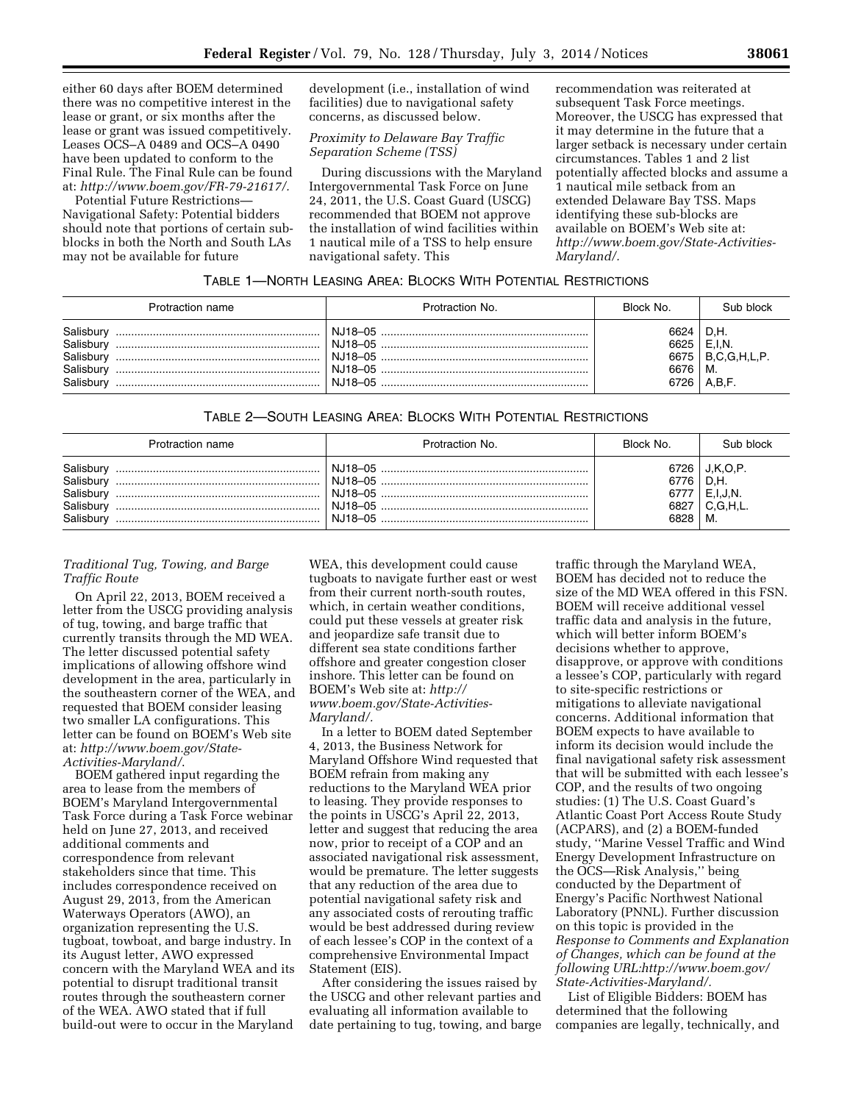either 60 days after BOEM determined there was no competitive interest in the lease or grant, or six months after the lease or grant was issued competitively. Leases OCS–A 0489 and OCS–A 0490 have been updated to conform to the Final Rule. The Final Rule can be found at: *[http://www.boem.gov/FR-79-21617/.](http://www.boem.gov/FR-79-21617/)* 

Potential Future Restrictions— Navigational Safety: Potential bidders should note that portions of certain subblocks in both the North and South LAs may not be available for future

development (i.e., installation of wind facilities) due to navigational safety concerns, as discussed below.

## *Proximity to Delaware Bay Traffic Separation Scheme (TSS)*

During discussions with the Maryland Intergovernmental Task Force on June 24, 2011, the U.S. Coast Guard (USCG) recommended that BOEM not approve the installation of wind facilities within 1 nautical mile of a TSS to help ensure navigational safety. This

recommendation was reiterated at subsequent Task Force meetings. Moreover, the USCG has expressed that it may determine in the future that a larger setback is necessary under certain circumstances. Tables 1 and 2 list potentially affected blocks and assume a 1 nautical mile setback from an extended Delaware Bay TSS. Maps identifying these sub-blocks are available on BOEM's Web site at: *[http://www.boem.gov/State-Activities-](http://www.boem.gov/State-Activities-Maryland/)[Maryland/.](http://www.boem.gov/State-Activities-Maryland/)* 

# TABLE 1—NORTH LEASING AREA: BLOCKS WITH POTENTIAL RESTRICTIONS

| Protraction name                                             | Protraction No. | Block No.                            | Sub block                                    |
|--------------------------------------------------------------|-----------------|--------------------------------------|----------------------------------------------|
| Salisbun<br>Salisbury<br>Salisburv<br>Salisburv<br>Salisbury | N.J18-05        | 6624<br>6625<br>6675<br>6676<br>6726 | D.H.<br>E,I,N<br>B.C.G.H.L.P.<br>М.<br>A,B,F |

# TABLE 2—SOUTH LEASING AREA: BLOCKS WITH POTENTIAL RESTRICTIONS

| Protraction name                                              | Protraction No.                 | Block No.                            | Sub block                                            |
|---------------------------------------------------------------|---------------------------------|--------------------------------------|------------------------------------------------------|
| Salisbury<br>Salisbury<br>Salisbury<br>Salisbury<br>Salisbury | N.J18-05<br>NJ18-05.<br>NJ18-05 | 6726<br>6776<br>6777<br>6827<br>6828 | J.K.O.P.<br>D.H.<br>$E, I, J, N$ .<br>C.G.H.L.<br>M. |

# *Traditional Tug, Towing, and Barge Traffic Route*

On April 22, 2013, BOEM received a letter from the USCG providing analysis of tug, towing, and barge traffic that currently transits through the MD WEA. The letter discussed potential safety implications of allowing offshore wind development in the area, particularly in the southeastern corner of the WEA, and requested that BOEM consider leasing two smaller LA configurations. This letter can be found on BOEM's Web site at: *[http://www.boem.gov/State-](http://www.boem.gov/State-Activities-Maryland/)[Activities-Maryland/](http://www.boem.gov/State-Activities-Maryland/)*.

BOEM gathered input regarding the area to lease from the members of BOEM's Maryland Intergovernmental Task Force during a Task Force webinar held on June 27, 2013, and received additional comments and correspondence from relevant stakeholders since that time. This includes correspondence received on August 29, 2013, from the American Waterways Operators (AWO), an organization representing the U.S. tugboat, towboat, and barge industry. In its August letter, AWO expressed concern with the Maryland WEA and its potential to disrupt traditional transit routes through the southeastern corner of the WEA. AWO stated that if full build-out were to occur in the Maryland

WEA, this development could cause tugboats to navigate further east or west from their current north-south routes, which, in certain weather conditions, could put these vessels at greater risk and jeopardize safe transit due to different sea state conditions farther offshore and greater congestion closer inshore. This letter can be found on BOEM's Web site at: *[http://](http://www.boem.gov/State-Activities-Maryland/)  [www.boem.gov/State-Activities-](http://www.boem.gov/State-Activities-Maryland/)[Maryland/.](http://www.boem.gov/State-Activities-Maryland/)* 

In a letter to BOEM dated September 4, 2013, the Business Network for Maryland Offshore Wind requested that BOEM refrain from making any reductions to the Maryland WEA prior to leasing. They provide responses to the points in USCG's April 22, 2013, letter and suggest that reducing the area now, prior to receipt of a COP and an associated navigational risk assessment, would be premature. The letter suggests that any reduction of the area due to potential navigational safety risk and any associated costs of rerouting traffic would be best addressed during review of each lessee's COP in the context of a comprehensive Environmental Impact Statement (EIS).

After considering the issues raised by the USCG and other relevant parties and evaluating all information available to date pertaining to tug, towing, and barge

traffic through the Maryland WEA, BOEM has decided not to reduce the size of the MD WEA offered in this FSN. BOEM will receive additional vessel traffic data and analysis in the future, which will better inform BOEM's decisions whether to approve, disapprove, or approve with conditions a lessee's COP, particularly with regard to site-specific restrictions or mitigations to alleviate navigational concerns. Additional information that BOEM expects to have available to inform its decision would include the final navigational safety risk assessment that will be submitted with each lessee's COP, and the results of two ongoing studies: (1) The U.S. Coast Guard's Atlantic Coast Port Access Route Study (ACPARS), and (2) a BOEM-funded study, ''Marine Vessel Traffic and Wind Energy Development Infrastructure on the OCS—Risk Analysis,'' being conducted by the Department of Energy's Pacific Northwest National Laboratory (PNNL). Further discussion on this topic is provided in the *Response to Comments and Explanation of Changes, which can be found at the following URL[:http://www.boem.gov/](http://www.boem.gov/State-Activities-Maryland/) [State-Activities-Maryland/.](http://www.boem.gov/State-Activities-Maryland/)* 

List of Eligible Bidders: BOEM has determined that the following companies are legally, technically, and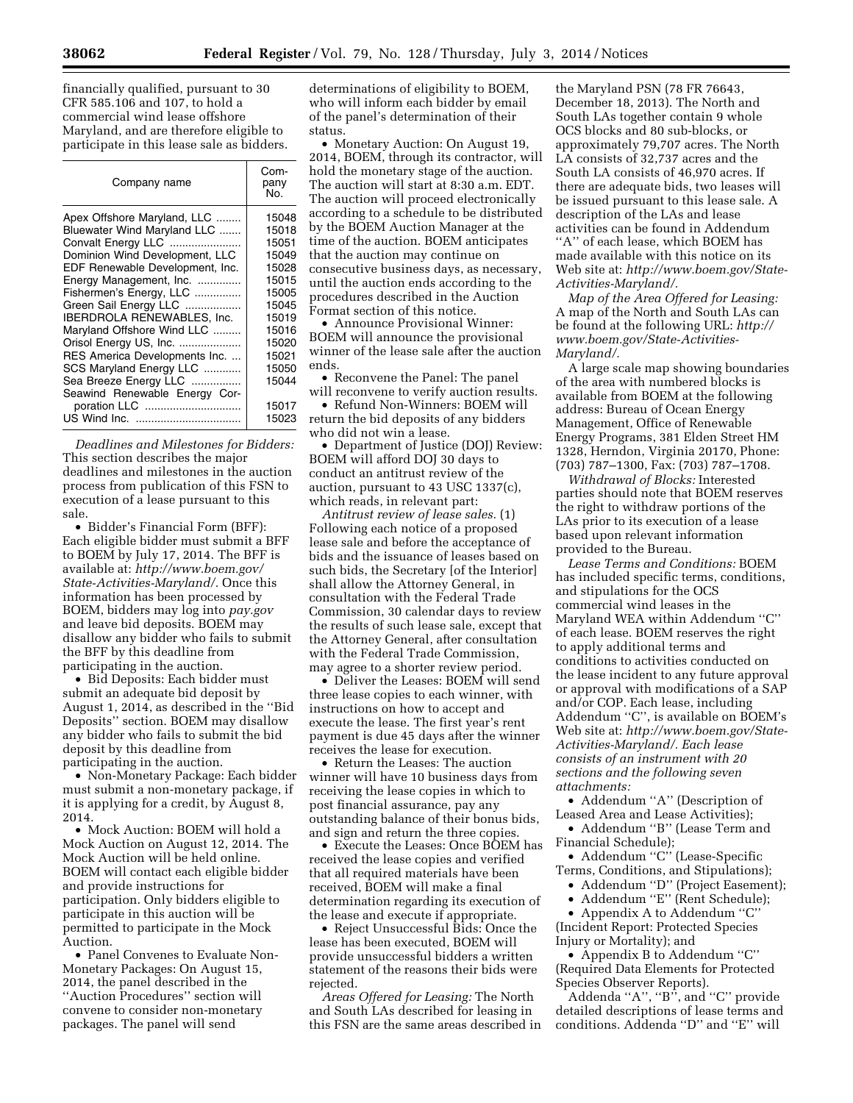financially qualified, pursuant to 30 CFR 585.106 and 107, to hold a commercial wind lease offshore Maryland, and are therefore eligible to participate in this lease sale as bidders.

| Company name                    | Com-<br>pany<br>No. |
|---------------------------------|---------------------|
| Apex Offshore Maryland, LLC     | 15048               |
| Bluewater Wind Maryland LLC     | 15018               |
| Convalt Energy LLC              | 15051               |
| Dominion Wind Development, LLC  | 15049               |
| EDF Renewable Development, Inc. | 15028               |
| Energy Management, Inc.         | 15015               |
| Fishermen's Energy, LLC         | 15005               |
| Green Sail Energy LLC           | 15045               |
| IBERDROLA RENEWABLES, Inc.      | 15019               |
| Maryland Offshore Wind LLC      | 15016               |
| Orisol Energy US, Inc.          | 15020               |
| RES America Developments Inc.   | 15021               |
| SCS Maryland Energy LLC         | 15050               |
| Sea Breeze Energy LLC           | 15044               |
| Seawind Renewable Energy Cor-   |                     |
| poration LLC                    | 15017               |
|                                 | 15023               |
|                                 |                     |

*Deadlines and Milestones for Bidders:*  This section describes the major deadlines and milestones in the auction process from publication of this FSN to execution of a lease pursuant to this sale.

• Bidder's Financial Form (BFF): Each eligible bidder must submit a BFF to BOEM by July 17, 2014. The BFF is available at: *[http://www.boem.gov/](http://www.boem.gov/State-Activities-Maryland/) [State-Activities-Maryland/.](http://www.boem.gov/State-Activities-Maryland/)* Once this information has been processed by BOEM, bidders may log into *pay.gov*  and leave bid deposits. BOEM may disallow any bidder who fails to submit the BFF by this deadline from participating in the auction.

• Bid Deposits: Each bidder must submit an adequate bid deposit by August 1, 2014, as described in the ''Bid Deposits'' section. BOEM may disallow any bidder who fails to submit the bid deposit by this deadline from participating in the auction.

• Non-Monetary Package: Each bidder must submit a non-monetary package, if it is applying for a credit, by August 8, 2014.

• Mock Auction: BOEM will hold a Mock Auction on August 12, 2014. The Mock Auction will be held online. BOEM will contact each eligible bidder and provide instructions for participation. Only bidders eligible to participate in this auction will be permitted to participate in the Mock Auction.

• Panel Convenes to Evaluate Non-Monetary Packages: On August 15, 2014, the panel described in the ''Auction Procedures'' section will convene to consider non-monetary packages. The panel will send

determinations of eligibility to BOEM, who will inform each bidder by email of the panel's determination of their status.

• Monetary Auction: On August 19, 2014, BOEM, through its contractor, will hold the monetary stage of the auction. The auction will start at 8:30 a.m. EDT. The auction will proceed electronically according to a schedule to be distributed by the BOEM Auction Manager at the time of the auction. BOEM anticipates that the auction may continue on consecutive business days, as necessary, until the auction ends according to the procedures described in the Auction Format section of this notice.

• Announce Provisional Winner: BOEM will announce the provisional winner of the lease sale after the auction ends.

• Reconvene the Panel: The panel will reconvene to verify auction results.

• Refund Non-Winners: BOEM will return the bid deposits of any bidders who did not win a lease.

• Department of Justice (DOJ) Review: BOEM will afford DOJ 30 days to conduct an antitrust review of the auction, pursuant to 43 USC 1337(c), which reads, in relevant part:

*Antitrust review of lease sales.* (1) Following each notice of a proposed lease sale and before the acceptance of bids and the issuance of leases based on such bids, the Secretary [of the Interior] shall allow the Attorney General, in consultation with the Federal Trade Commission, 30 calendar days to review the results of such lease sale, except that the Attorney General, after consultation with the Federal Trade Commission, may agree to a shorter review period.

• Deliver the Leases: BOEM will send three lease copies to each winner, with instructions on how to accept and execute the lease. The first year's rent payment is due 45 days after the winner receives the lease for execution.

• Return the Leases: The auction winner will have 10 business days from receiving the lease copies in which to post financial assurance, pay any outstanding balance of their bonus bids, and sign and return the three copies.

• Execute the Leases: Once BOEM has received the lease copies and verified that all required materials have been received, BOEM will make a final determination regarding its execution of the lease and execute if appropriate.

• Reject Unsuccessful Bids: Once the lease has been executed, BOEM will provide unsuccessful bidders a written statement of the reasons their bids were rejected.

*Areas Offered for Leasing:* The North and South LAs described for leasing in this FSN are the same areas described in

the Maryland PSN (78 FR 76643, December 18, 2013). The North and South LAs together contain 9 whole OCS blocks and 80 sub-blocks, or approximately 79,707 acres. The North LA consists of 32,737 acres and the South LA consists of 46,970 acres. If there are adequate bids, two leases will be issued pursuant to this lease sale. A description of the LAs and lease activities can be found in Addendum ''A'' of each lease, which BOEM has made available with this notice on its Web site at: *[http://www.boem.gov/State-](http://www.boem.gov/State-Activities-Maryland/)[Activities-Maryland/.](http://www.boem.gov/State-Activities-Maryland/)* 

*Map of the Area Offered for Leasing:*  A map of the North and South LAs can be found at the following URL: *[http://](http://www.boem.gov/State-Activities-Maryland/) [www.boem.gov/State-Activities-](http://www.boem.gov/State-Activities-Maryland/)[Maryland/.](http://www.boem.gov/State-Activities-Maryland/)* 

A large scale map showing boundaries of the area with numbered blocks is available from BOEM at the following address: Bureau of Ocean Energy Management, Office of Renewable Energy Programs, 381 Elden Street HM 1328, Herndon, Virginia 20170, Phone: (703) 787–1300, Fax: (703) 787–1708.

*Withdrawal of Blocks:* Interested parties should note that BOEM reserves the right to withdraw portions of the LAs prior to its execution of a lease based upon relevant information provided to the Bureau.

*Lease Terms and Conditions:* BOEM has included specific terms, conditions, and stipulations for the OCS commercial wind leases in the Maryland WEA within Addendum ''C'' of each lease. BOEM reserves the right to apply additional terms and conditions to activities conducted on the lease incident to any future approval or approval with modifications of a SAP and/or COP. Each lease, including Addendum ''C'', is available on BOEM's Web site at: *[http://www.boem.gov/State-](http://www.boem.gov/State-Activities-Maryland/)[Activities-Maryland/.](http://www.boem.gov/State-Activities-Maryland/) Each lease consists of an instrument with 20 sections and the following seven attachments:* 

• Addendum ''A'' (Description of Leased Area and Lease Activities);

• Addendum ''B'' (Lease Term and Financial Schedule);

• Addendum ''C'' (Lease-Specific Terms, Conditions, and Stipulations); • Addendum "D" (Project Easement);

• Addendum "E" (Rent Schedule);

• Appendix A to Addendum "C"

(Incident Report: Protected Species Injury or Mortality); and

• Appendix B to Addendum ''C'' (Required Data Elements for Protected Species Observer Reports).

Addenda "A", "B<sup>"</sup>, and "C" provide detailed descriptions of lease terms and conditions. Addenda ''D'' and ''E'' will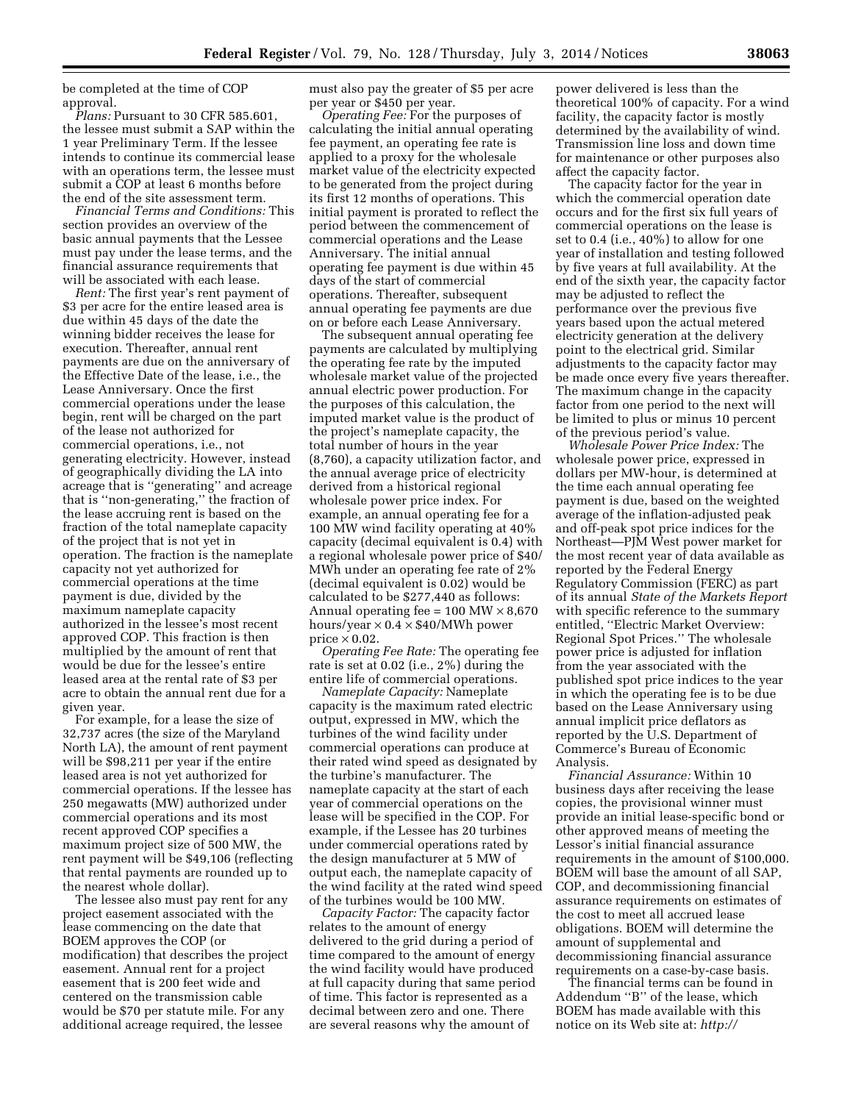be completed at the time of COP approval.

*Plans:* Pursuant to 30 CFR 585.601, the lessee must submit a SAP within the 1 year Preliminary Term. If the lessee intends to continue its commercial lease with an operations term, the lessee must submit a COP at least 6 months before the end of the site assessment term.

*Financial Terms and Conditions:* This section provides an overview of the basic annual payments that the Lessee must pay under the lease terms, and the financial assurance requirements that will be associated with each lease.

*Rent:* The first year's rent payment of \$3 per acre for the entire leased area is due within 45 days of the date the winning bidder receives the lease for execution. Thereafter, annual rent payments are due on the anniversary of the Effective Date of the lease, i.e., the Lease Anniversary. Once the first commercial operations under the lease begin, rent will be charged on the part of the lease not authorized for commercial operations, i.e., not generating electricity. However, instead of geographically dividing the LA into acreage that is ''generating'' and acreage that is ''non-generating,'' the fraction of the lease accruing rent is based on the fraction of the total nameplate capacity of the project that is not yet in operation. The fraction is the nameplate capacity not yet authorized for commercial operations at the time payment is due, divided by the maximum nameplate capacity authorized in the lessee's most recent approved COP. This fraction is then multiplied by the amount of rent that would be due for the lessee's entire leased area at the rental rate of \$3 per acre to obtain the annual rent due for a given year.

For example, for a lease the size of 32,737 acres (the size of the Maryland North LA), the amount of rent payment will be \$98,211 per year if the entire leased area is not yet authorized for commercial operations. If the lessee has 250 megawatts (MW) authorized under commercial operations and its most recent approved COP specifies a maximum project size of 500 MW, the rent payment will be \$49,106 (reflecting that rental payments are rounded up to the nearest whole dollar).

The lessee also must pay rent for any project easement associated with the lease commencing on the date that BOEM approves the COP (or modification) that describes the project easement. Annual rent for a project easement that is 200 feet wide and centered on the transmission cable would be \$70 per statute mile. For any additional acreage required, the lessee

must also pay the greater of \$5 per acre per year or \$450 per year.

*Operating Fee:* For the purposes of calculating the initial annual operating fee payment, an operating fee rate is applied to a proxy for the wholesale market value of the electricity expected to be generated from the project during its first 12 months of operations. This initial payment is prorated to reflect the period between the commencement of commercial operations and the Lease Anniversary. The initial annual operating fee payment is due within 45 days of the start of commercial operations. Thereafter, subsequent annual operating fee payments are due on or before each Lease Anniversary.

The subsequent annual operating fee payments are calculated by multiplying the operating fee rate by the imputed wholesale market value of the projected annual electric power production. For the purposes of this calculation, the imputed market value is the product of the project's nameplate capacity, the total number of hours in the year (8,760), a capacity utilization factor, and the annual average price of electricity derived from a historical regional wholesale power price index. For example, an annual operating fee for a 100 MW wind facility operating at 40% capacity (decimal equivalent is 0.4) with a regional wholesale power price of \$40/ MWh under an operating fee rate of 2% (decimal equivalent is 0.02) would be calculated to be \$277,440 as follows: Annual operating fee =  $100 \text{ MW} \times 8,670$ hours/year  $\times$  0.4  $\times$  \$40/MWh power price  $\times$  0.02.

*Operating Fee Rate:* The operating fee rate is set at 0.02 (i.e., 2%) during the entire life of commercial operations.

*Nameplate Capacity:* Nameplate capacity is the maximum rated electric output, expressed in MW, which the turbines of the wind facility under commercial operations can produce at their rated wind speed as designated by the turbine's manufacturer. The nameplate capacity at the start of each year of commercial operations on the lease will be specified in the COP. For example, if the Lessee has 20 turbines under commercial operations rated by the design manufacturer at 5 MW of output each, the nameplate capacity of the wind facility at the rated wind speed of the turbines would be 100 MW.

*Capacity Factor:* The capacity factor relates to the amount of energy delivered to the grid during a period of time compared to the amount of energy the wind facility would have produced at full capacity during that same period of time. This factor is represented as a decimal between zero and one. There are several reasons why the amount of

power delivered is less than the theoretical 100% of capacity. For a wind facility, the capacity factor is mostly determined by the availability of wind. Transmission line loss and down time for maintenance or other purposes also affect the capacity factor.

The capacity factor for the year in which the commercial operation date occurs and for the first six full years of commercial operations on the lease is set to 0.4 (i.e., 40%) to allow for one year of installation and testing followed by five years at full availability. At the end of the sixth year, the capacity factor may be adjusted to reflect the performance over the previous five years based upon the actual metered electricity generation at the delivery point to the electrical grid. Similar adjustments to the capacity factor may be made once every five years thereafter. The maximum change in the capacity factor from one period to the next will be limited to plus or minus 10 percent of the previous period's value.

*Wholesale Power Price Index:* The wholesale power price, expressed in dollars per MW-hour, is determined at the time each annual operating fee payment is due, based on the weighted average of the inflation-adjusted peak and off-peak spot price indices for the Northeast—PJM West power market for the most recent year of data available as reported by the Federal Energy Regulatory Commission (FERC) as part of its annual *State of the Markets Report*  with specific reference to the summary entitled, ''Electric Market Overview: Regional Spot Prices.'' The wholesale power price is adjusted for inflation from the year associated with the published spot price indices to the year in which the operating fee is to be due based on the Lease Anniversary using annual implicit price deflators as reported by the U.S. Department of Commerce's Bureau of Economic Analysis.

*Financial Assurance:* Within 10 business days after receiving the lease copies, the provisional winner must provide an initial lease-specific bond or other approved means of meeting the Lessor's initial financial assurance requirements in the amount of \$100,000. BOEM will base the amount of all SAP, COP, and decommissioning financial assurance requirements on estimates of the cost to meet all accrued lease obligations. BOEM will determine the amount of supplemental and decommissioning financial assurance requirements on a case-by-case basis.

The financial terms can be found in Addendum ''B'' of the lease, which BOEM has made available with this notice on its Web site at: *[http://](http://www.boem.gov/State-Activities-Maryland/)*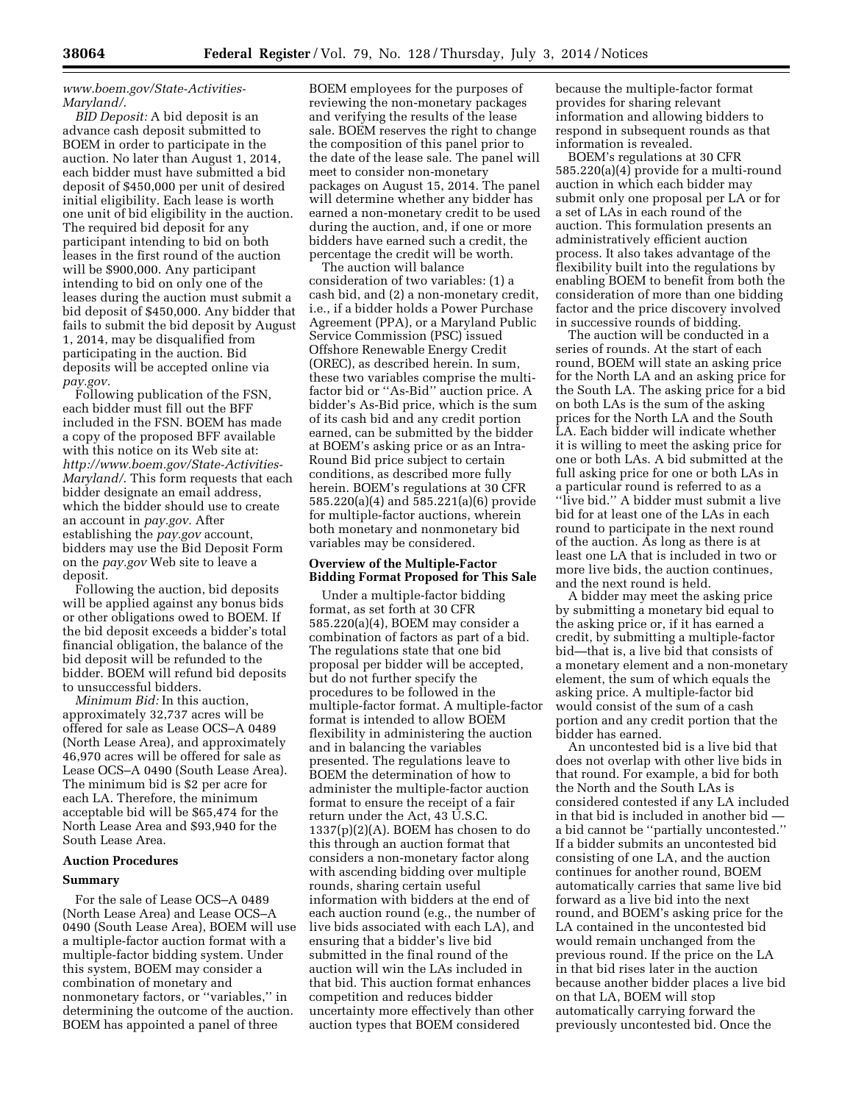# *[www.boem.gov/State-Activities-](http://www.boem.gov/State-Activities-Maryland/)[Maryland/](http://www.boem.gov/State-Activities-Maryland/)*.

*BID Deposit:* A bid deposit is an advance cash deposit submitted to BOEM in order to participate in the auction. No later than August 1, 2014, each bidder must have submitted a bid deposit of \$450,000 per unit of desired initial eligibility. Each lease is worth one unit of bid eligibility in the auction. The required bid deposit for any participant intending to bid on both leases in the first round of the auction will be \$900,000. Any participant intending to bid on only one of the leases during the auction must submit a bid deposit of \$450,000. Any bidder that fails to submit the bid deposit by August 1, 2014, may be disqualified from participating in the auction. Bid deposits will be accepted online via *pay.gov.* 

Following publication of the FSN, each bidder must fill out the BFF included in the FSN. BOEM has made a copy of the proposed BFF available with this notice on its Web site at: *[http://www.boem.gov/State-Activities-](http://www.boem.gov/State-Activities-Maryland/)[Maryland/](http://www.boem.gov/State-Activities-Maryland/)*. This form requests that each bidder designate an email address, which the bidder should use to create an account in *pay.gov.* After establishing the *pay.gov* account, bidders may use the Bid Deposit Form on the *pay.gov* Web site to leave a deposit.

Following the auction, bid deposits will be applied against any bonus bids or other obligations owed to BOEM. If the bid deposit exceeds a bidder's total financial obligation, the balance of the bid deposit will be refunded to the bidder. BOEM will refund bid deposits to unsuccessful bidders.

*Minimum Bid:* In this auction, approximately 32,737 acres will be offered for sale as Lease OCS–A 0489 (North Lease Area), and approximately 46,970 acres will be offered for sale as Lease OCS–A 0490 (South Lease Area). The minimum bid is \$2 per acre for each LA. Therefore, the minimum acceptable bid will be \$65,474 for the North Lease Area and \$93,940 for the South Lease Area.

## **Auction Procedures**

#### **Summary**

For the sale of Lease OCS–A 0489 (North Lease Area) and Lease OCS–A 0490 (South Lease Area), BOEM will use a multiple-factor auction format with a multiple-factor bidding system. Under this system, BOEM may consider a combination of monetary and nonmonetary factors, or ''variables,'' in determining the outcome of the auction. BOEM has appointed a panel of three

BOEM employees for the purposes of reviewing the non-monetary packages and verifying the results of the lease sale. BOEM reserves the right to change the composition of this panel prior to the date of the lease sale. The panel will meet to consider non-monetary packages on August 15, 2014. The panel will determine whether any bidder has earned a non-monetary credit to be used during the auction, and, if one or more bidders have earned such a credit, the percentage the credit will be worth.

The auction will balance consideration of two variables: (1) a cash bid, and (2) a non-monetary credit, i.e., if a bidder holds a Power Purchase Agreement (PPA), or a Maryland Public Service Commission (PSC) issued Offshore Renewable Energy Credit (OREC), as described herein. In sum, these two variables comprise the multifactor bid or ''As-Bid'' auction price. A bidder's As-Bid price, which is the sum of its cash bid and any credit portion earned, can be submitted by the bidder at BOEM's asking price or as an Intra-Round Bid price subject to certain conditions, as described more fully herein. BOEM's regulations at 30 CFR 585.220(a)(4) and 585.221(a)(6) provide for multiple-factor auctions, wherein both monetary and nonmonetary bid variables may be considered.

# **Overview of the Multiple-Factor Bidding Format Proposed for This Sale**

Under a multiple-factor bidding format, as set forth at 30 CFR 585.220(a)(4), BOEM may consider a combination of factors as part of a bid. The regulations state that one bid proposal per bidder will be accepted, but do not further specify the procedures to be followed in the multiple-factor format. A multiple-factor format is intended to allow BOEM flexibility in administering the auction and in balancing the variables presented. The regulations leave to BOEM the determination of how to administer the multiple-factor auction format to ensure the receipt of a fair return under the Act, 43 U.S.C.  $1337(p)(2)(A)$ . BOEM has chosen to do this through an auction format that considers a non-monetary factor along with ascending bidding over multiple rounds, sharing certain useful information with bidders at the end of each auction round (e.g., the number of live bids associated with each LA), and ensuring that a bidder's live bid submitted in the final round of the auction will win the LAs included in that bid. This auction format enhances competition and reduces bidder uncertainty more effectively than other auction types that BOEM considered

because the multiple-factor format provides for sharing relevant information and allowing bidders to respond in subsequent rounds as that information is revealed.

BOEM's regulations at 30 CFR 585.220(a)(4) provide for a multi-round auction in which each bidder may submit only one proposal per LA or for a set of LAs in each round of the auction. This formulation presents an administratively efficient auction process. It also takes advantage of the flexibility built into the regulations by enabling BOEM to benefit from both the consideration of more than one bidding factor and the price discovery involved in successive rounds of bidding.

The auction will be conducted in a series of rounds. At the start of each round, BOEM will state an asking price for the North LA and an asking price for the South LA. The asking price for a bid on both LAs is the sum of the asking prices for the North LA and the South LA. Each bidder will indicate whether it is willing to meet the asking price for one or both LAs. A bid submitted at the full asking price for one or both LAs in a particular round is referred to as a ''live bid.'' A bidder must submit a live bid for at least one of the LAs in each round to participate in the next round of the auction. As long as there is at least one LA that is included in two or more live bids, the auction continues, and the next round is held.

A bidder may meet the asking price by submitting a monetary bid equal to the asking price or, if it has earned a credit, by submitting a multiple-factor bid—that is, a live bid that consists of a monetary element and a non-monetary element, the sum of which equals the asking price. A multiple-factor bid would consist of the sum of a cash portion and any credit portion that the bidder has earned.

An uncontested bid is a live bid that does not overlap with other live bids in that round. For example, a bid for both the North and the South LAs is considered contested if any LA included in that bid is included in another bid a bid cannot be ''partially uncontested.'' If a bidder submits an uncontested bid consisting of one LA, and the auction continues for another round, BOEM automatically carries that same live bid forward as a live bid into the next round, and BOEM's asking price for the LA contained in the uncontested bid would remain unchanged from the previous round. If the price on the LA in that bid rises later in the auction because another bidder places a live bid on that LA, BOEM will stop automatically carrying forward the previously uncontested bid. Once the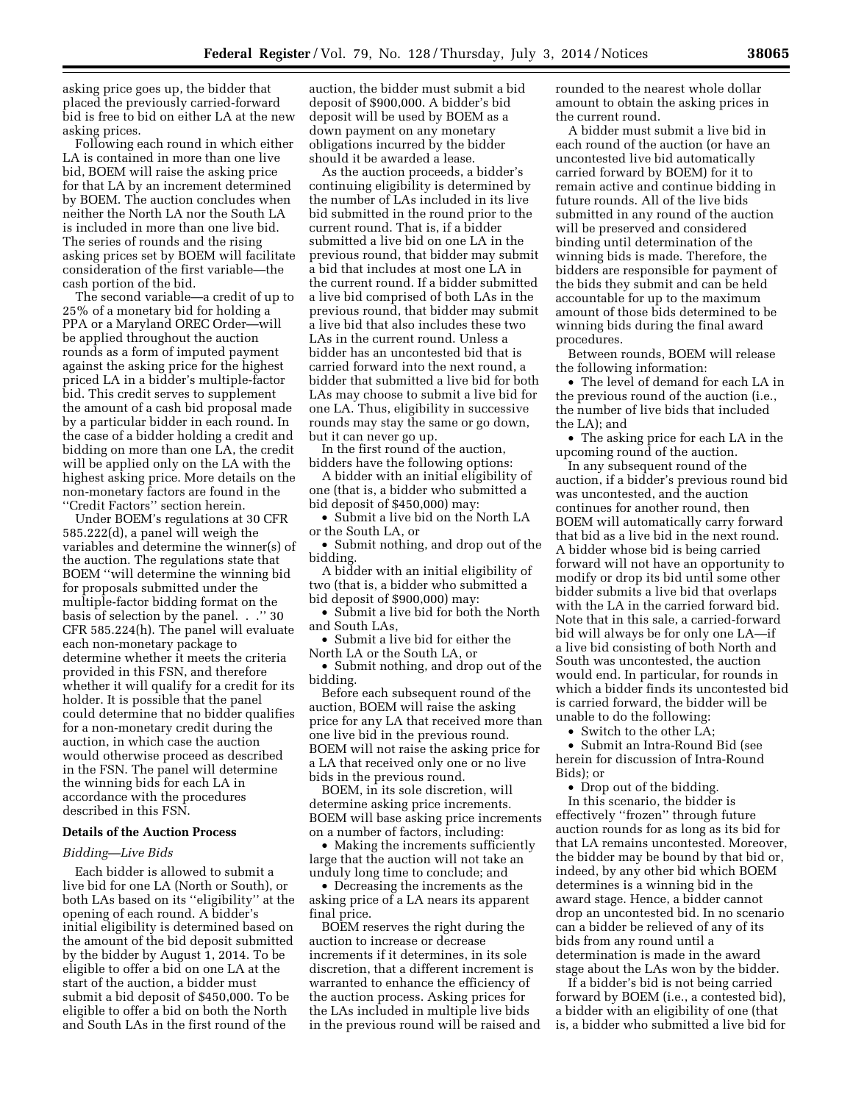asking price goes up, the bidder that placed the previously carried-forward bid is free to bid on either LA at the new asking prices.

Following each round in which either LA is contained in more than one live bid, BOEM will raise the asking price for that LA by an increment determined by BOEM. The auction concludes when neither the North LA nor the South LA is included in more than one live bid. The series of rounds and the rising asking prices set by BOEM will facilitate consideration of the first variable—the cash portion of the bid.

The second variable—a credit of up to 25% of a monetary bid for holding a PPA or a Maryland OREC Order—will be applied throughout the auction rounds as a form of imputed payment against the asking price for the highest priced LA in a bidder's multiple-factor bid. This credit serves to supplement the amount of a cash bid proposal made by a particular bidder in each round. In the case of a bidder holding a credit and bidding on more than one LA, the credit will be applied only on the LA with the highest asking price. More details on the non-monetary factors are found in the ''Credit Factors'' section herein.

Under BOEM's regulations at 30 CFR 585.222(d), a panel will weigh the variables and determine the winner(s) of the auction. The regulations state that BOEM ''will determine the winning bid for proposals submitted under the multiple-factor bidding format on the basis of selection by the panel. . .'' 30 CFR 585.224(h). The panel will evaluate each non-monetary package to determine whether it meets the criteria provided in this FSN, and therefore whether it will qualify for a credit for its holder. It is possible that the panel could determine that no bidder qualifies for a non-monetary credit during the auction, in which case the auction would otherwise proceed as described in the FSN. The panel will determine the winning bids for each LA in accordance with the procedures described in this FSN.

# **Details of the Auction Process**

#### *Bidding—Live Bids*

Each bidder is allowed to submit a live bid for one LA (North or South), or both LAs based on its ''eligibility'' at the opening of each round. A bidder's initial eligibility is determined based on the amount of the bid deposit submitted by the bidder by August 1, 2014. To be eligible to offer a bid on one LA at the start of the auction, a bidder must submit a bid deposit of \$450,000. To be eligible to offer a bid on both the North and South LAs in the first round of the

auction, the bidder must submit a bid deposit of \$900,000. A bidder's bid deposit will be used by BOEM as a down payment on any monetary obligations incurred by the bidder should it be awarded a lease.

As the auction proceeds, a bidder's continuing eligibility is determined by the number of LAs included in its live bid submitted in the round prior to the current round. That is, if a bidder submitted a live bid on one LA in the previous round, that bidder may submit a bid that includes at most one LA in the current round. If a bidder submitted a live bid comprised of both LAs in the previous round, that bidder may submit a live bid that also includes these two LAs in the current round. Unless a bidder has an uncontested bid that is carried forward into the next round, a bidder that submitted a live bid for both LAs may choose to submit a live bid for one LA. Thus, eligibility in successive rounds may stay the same or go down, but it can never go up.

In the first round of the auction, bidders have the following options:

A bidder with an initial eligibility of one (that is, a bidder who submitted a bid deposit of \$450,000) may:

• Submit a live bid on the North LA or the South LA, or

• Submit nothing, and drop out of the bidding.

A bidder with an initial eligibility of two (that is, a bidder who submitted a bid deposit of \$900,000) may:

• Submit a live bid for both the North and South LAs,

• Submit a live bid for either the North LA or the South LA, or

• Submit nothing, and drop out of the bidding.

Before each subsequent round of the auction, BOEM will raise the asking price for any LA that received more than one live bid in the previous round. BOEM will not raise the asking price for a LA that received only one or no live bids in the previous round.

BOEM, in its sole discretion, will determine asking price increments. BOEM will base asking price increments on a number of factors, including:

• Making the increments sufficiently large that the auction will not take an unduly long time to conclude; and

• Decreasing the increments as the asking price of a LA nears its apparent final price.

BOEM reserves the right during the auction to increase or decrease increments if it determines, in its sole discretion, that a different increment is warranted to enhance the efficiency of the auction process. Asking prices for the LAs included in multiple live bids in the previous round will be raised and rounded to the nearest whole dollar amount to obtain the asking prices in the current round.

A bidder must submit a live bid in each round of the auction (or have an uncontested live bid automatically carried forward by BOEM) for it to remain active and continue bidding in future rounds. All of the live bids submitted in any round of the auction will be preserved and considered binding until determination of the winning bids is made. Therefore, the bidders are responsible for payment of the bids they submit and can be held accountable for up to the maximum amount of those bids determined to be winning bids during the final award procedures.

Between rounds, BOEM will release the following information:

• The level of demand for each LA in the previous round of the auction (i.e., the number of live bids that included the LA); and

• The asking price for each LA in the upcoming round of the auction.

In any subsequent round of the auction, if a bidder's previous round bid was uncontested, and the auction continues for another round, then BOEM will automatically carry forward that bid as a live bid in the next round. A bidder whose bid is being carried forward will not have an opportunity to modify or drop its bid until some other bidder submits a live bid that overlaps with the LA in the carried forward bid. Note that in this sale, a carried-forward bid will always be for only one LA—if a live bid consisting of both North and South was uncontested, the auction would end. In particular, for rounds in which a bidder finds its uncontested bid is carried forward, the bidder will be unable to do the following:

• Switch to the other LA;

• Submit an Intra-Round Bid (see herein for discussion of Intra-Round Bids); or

• Drop out of the bidding. In this scenario, the bidder is effectively ''frozen'' through future auction rounds for as long as its bid for that LA remains uncontested. Moreover, the bidder may be bound by that bid or, indeed, by any other bid which BOEM determines is a winning bid in the award stage. Hence, a bidder cannot drop an uncontested bid. In no scenario can a bidder be relieved of any of its bids from any round until a determination is made in the award stage about the LAs won by the bidder.

If a bidder's bid is not being carried forward by BOEM (i.e., a contested bid), a bidder with an eligibility of one (that is, a bidder who submitted a live bid for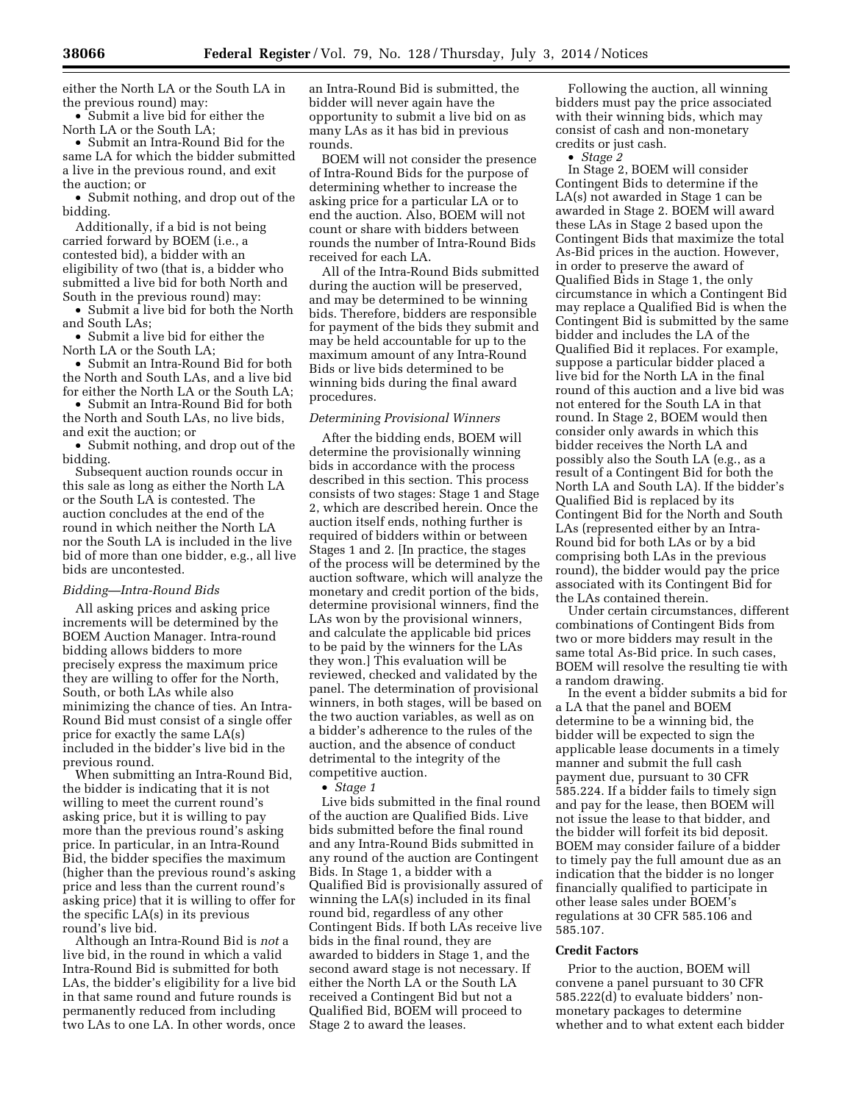either the North LA or the South LA in the previous round) may:

• Submit a live bid for either the North LA or the South LA;

• Submit an Intra-Round Bid for the same LA for which the bidder submitted a live in the previous round, and exit the auction; or

• Submit nothing, and drop out of the bidding.

Additionally, if a bid is not being carried forward by BOEM (i.e., a contested bid), a bidder with an eligibility of two (that is, a bidder who submitted a live bid for both North and South in the previous round) may:

• Submit a live bid for both the North and South LAs;

• Submit a live bid for either the North LA or the South LA;

• Submit an Intra-Round Bid for both the North and South LAs, and a live bid for either the North LA or the South LA;

• Submit an Intra-Round Bid for both the North and South LAs, no live bids, and exit the auction; or

• Submit nothing, and drop out of the bidding.

Subsequent auction rounds occur in this sale as long as either the North LA or the South LA is contested. The auction concludes at the end of the round in which neither the North LA nor the South LA is included in the live bid of more than one bidder, e.g., all live bids are uncontested.

#### *Bidding—Intra-Round Bids*

All asking prices and asking price increments will be determined by the BOEM Auction Manager. Intra-round bidding allows bidders to more precisely express the maximum price they are willing to offer for the North, South, or both LAs while also minimizing the chance of ties. An Intra-Round Bid must consist of a single offer price for exactly the same LA(s) included in the bidder's live bid in the previous round.

When submitting an Intra-Round Bid, the bidder is indicating that it is not willing to meet the current round's asking price, but it is willing to pay more than the previous round's asking price. In particular, in an Intra-Round Bid, the bidder specifies the maximum (higher than the previous round's asking price and less than the current round's asking price) that it is willing to offer for the specific LA(s) in its previous round's live bid.

Although an Intra-Round Bid is *not* a live bid, in the round in which a valid Intra-Round Bid is submitted for both LAs, the bidder's eligibility for a live bid in that same round and future rounds is permanently reduced from including two LAs to one LA. In other words, once

an Intra-Round Bid is submitted, the bidder will never again have the opportunity to submit a live bid on as many LAs as it has bid in previous rounds.

BOEM will not consider the presence of Intra-Round Bids for the purpose of determining whether to increase the asking price for a particular LA or to end the auction. Also, BOEM will not count or share with bidders between rounds the number of Intra-Round Bids received for each LA.

All of the Intra-Round Bids submitted during the auction will be preserved, and may be determined to be winning bids. Therefore, bidders are responsible for payment of the bids they submit and may be held accountable for up to the maximum amount of any Intra-Round Bids or live bids determined to be winning bids during the final award procedures.

#### *Determining Provisional Winners*

After the bidding ends, BOEM will determine the provisionally winning bids in accordance with the process described in this section. This process consists of two stages: Stage 1 and Stage 2, which are described herein. Once the auction itself ends, nothing further is required of bidders within or between Stages 1 and 2. [In practice, the stages of the process will be determined by the auction software, which will analyze the monetary and credit portion of the bids, determine provisional winners, find the LAs won by the provisional winners, and calculate the applicable bid prices to be paid by the winners for the LAs they won.] This evaluation will be reviewed, checked and validated by the panel. The determination of provisional winners, in both stages, will be based on the two auction variables, as well as on a bidder's adherence to the rules of the auction, and the absence of conduct detrimental to the integrity of the competitive auction.

• *Stage 1* 

Live bids submitted in the final round of the auction are Qualified Bids. Live bids submitted before the final round and any Intra-Round Bids submitted in any round of the auction are Contingent Bids. In Stage 1, a bidder with a Qualified Bid is provisionally assured of winning the LA(s) included in its final round bid, regardless of any other Contingent Bids. If both LAs receive live bids in the final round, they are awarded to bidders in Stage 1, and the second award stage is not necessary. If either the North LA or the South LA received a Contingent Bid but not a Qualified Bid, BOEM will proceed to Stage 2 to award the leases.

Following the auction, all winning bidders must pay the price associated with their winning bids, which may consist of cash and non-monetary credits or just cash.

• *Stage 2* 

In Stage 2, BOEM will consider Contingent Bids to determine if the LA(s) not awarded in Stage 1 can be awarded in Stage 2. BOEM will award these LAs in Stage 2 based upon the Contingent Bids that maximize the total As-Bid prices in the auction. However, in order to preserve the award of Qualified Bids in Stage 1, the only circumstance in which a Contingent Bid may replace a Qualified Bid is when the Contingent Bid is submitted by the same bidder and includes the LA of the Qualified Bid it replaces. For example, suppose a particular bidder placed a live bid for the North LA in the final round of this auction and a live bid was not entered for the South LA in that round. In Stage 2, BOEM would then consider only awards in which this bidder receives the North LA and possibly also the South LA (e.g., as a result of a Contingent Bid for both the North LA and South LA). If the bidder's Qualified Bid is replaced by its Contingent Bid for the North and South LAs (represented either by an Intra-Round bid for both LAs or by a bid comprising both LAs in the previous round), the bidder would pay the price associated with its Contingent Bid for the LAs contained therein.

Under certain circumstances, different combinations of Contingent Bids from two or more bidders may result in the same total As-Bid price. In such cases, BOEM will resolve the resulting tie with a random drawing.

In the event a bidder submits a bid for a LA that the panel and BOEM determine to be a winning bid, the bidder will be expected to sign the applicable lease documents in a timely manner and submit the full cash payment due, pursuant to 30 CFR 585.224. If a bidder fails to timely sign and pay for the lease, then BOEM will not issue the lease to that bidder, and the bidder will forfeit its bid deposit. BOEM may consider failure of a bidder to timely pay the full amount due as an indication that the bidder is no longer financially qualified to participate in other lease sales under BOEM's regulations at 30 CFR 585.106 and 585.107.

#### **Credit Factors**

Prior to the auction, BOEM will convene a panel pursuant to 30 CFR 585.222(d) to evaluate bidders' nonmonetary packages to determine whether and to what extent each bidder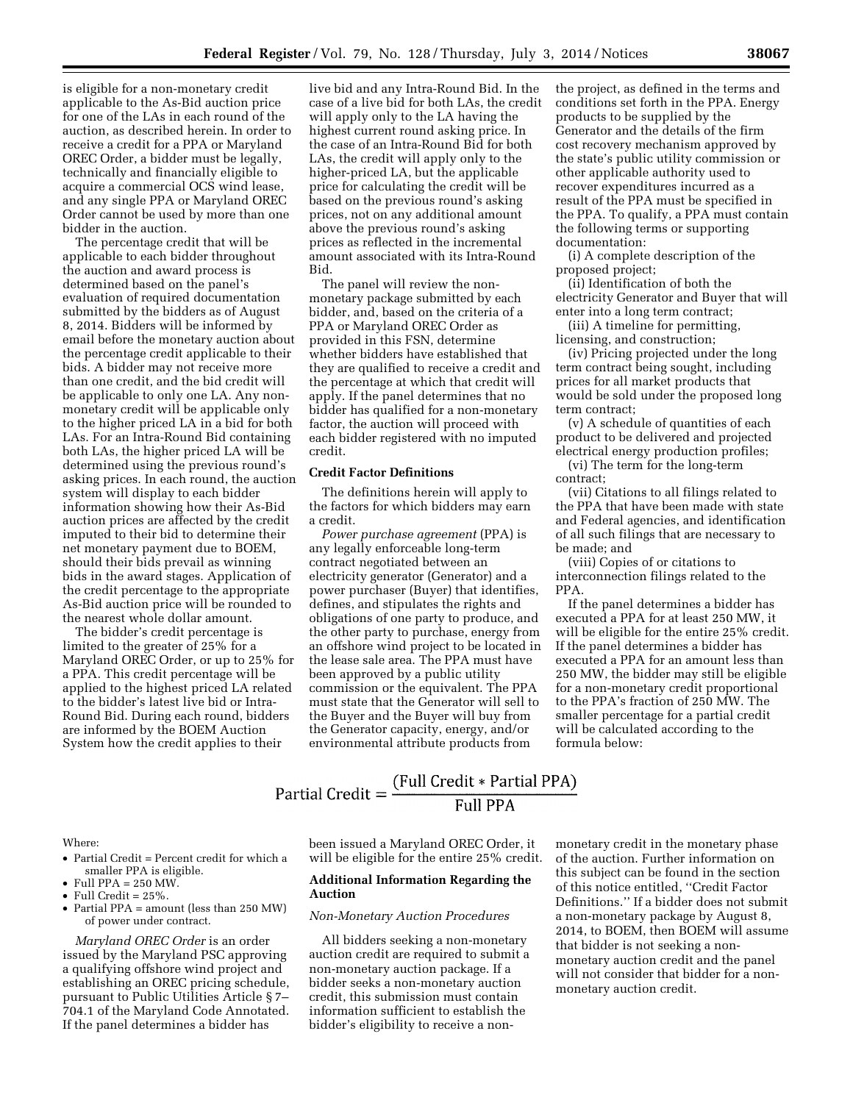is eligible for a non-monetary credit applicable to the As-Bid auction price for one of the LAs in each round of the auction, as described herein. In order to receive a credit for a PPA or Maryland OREC Order, a bidder must be legally, technically and financially eligible to acquire a commercial OCS wind lease, and any single PPA or Maryland OREC Order cannot be used by more than one bidder in the auction.

The percentage credit that will be applicable to each bidder throughout the auction and award process is determined based on the panel's evaluation of required documentation submitted by the bidders as of August 8, 2014. Bidders will be informed by email before the monetary auction about the percentage credit applicable to their bids. A bidder may not receive more than one credit, and the bid credit will be applicable to only one LA. Any nonmonetary credit will be applicable only to the higher priced LA in a bid for both LAs. For an Intra-Round Bid containing both LAs, the higher priced LA will be determined using the previous round's asking prices. In each round, the auction system will display to each bidder information showing how their As-Bid auction prices are affected by the credit imputed to their bid to determine their net monetary payment due to BOEM, should their bids prevail as winning bids in the award stages. Application of the credit percentage to the appropriate As-Bid auction price will be rounded to the nearest whole dollar amount.

The bidder's credit percentage is limited to the greater of 25% for a Maryland OREC Order, or up to 25% for a PPA. This credit percentage will be applied to the highest priced LA related to the bidder's latest live bid or Intra-Round Bid. During each round, bidders are informed by the BOEM Auction System how the credit applies to their

live bid and any Intra-Round Bid. In the case of a live bid for both LAs, the credit will apply only to the LA having the highest current round asking price. In the case of an Intra-Round Bid for both LAs, the credit will apply only to the higher-priced LA, but the applicable price for calculating the credit will be based on the previous round's asking prices, not on any additional amount above the previous round's asking prices as reflected in the incremental amount associated with its Intra-Round Bid.

The panel will review the nonmonetary package submitted by each bidder, and, based on the criteria of a PPA or Maryland OREC Order as provided in this FSN, determine whether bidders have established that they are qualified to receive a credit and the percentage at which that credit will apply. If the panel determines that no bidder has qualified for a non-monetary factor, the auction will proceed with each bidder registered with no imputed credit.

# **Credit Factor Definitions**

The definitions herein will apply to the factors for which bidders may earn a credit.

*Power purchase agreement* (PPA) is any legally enforceable long-term contract negotiated between an electricity generator (Generator) and a power purchaser (Buyer) that identifies, defines, and stipulates the rights and obligations of one party to produce, and the other party to purchase, energy from an offshore wind project to be located in the lease sale area. The PPA must have been approved by a public utility commission or the equivalent. The PPA must state that the Generator will sell to the Buyer and the Buyer will buy from the Generator capacity, energy, and/or environmental attribute products from

the project, as defined in the terms and conditions set forth in the PPA. Energy products to be supplied by the Generator and the details of the firm cost recovery mechanism approved by the state's public utility commission or other applicable authority used to recover expenditures incurred as a result of the PPA must be specified in the PPA. To qualify, a PPA must contain the following terms or supporting documentation:

(i) A complete description of the proposed project;

(ii) Identification of both the electricity Generator and Buyer that will enter into a long term contract;

(iii) A timeline for permitting, licensing, and construction;

(iv) Pricing projected under the long term contract being sought, including prices for all market products that would be sold under the proposed long term contract;

(v) A schedule of quantities of each product to be delivered and projected electrical energy production profiles;

(vi) The term for the long-term contract;

(vii) Citations to all filings related to the PPA that have been made with state and Federal agencies, and identification of all such filings that are necessary to be made; and

(viii) Copies of or citations to interconnection filings related to the PPA.

If the panel determines a bidder has executed a PPA for at least 250 MW, it will be eligible for the entire 25% credit. If the panel determines a bidder has executed a PPA for an amount less than 250 MW, the bidder may still be eligible for a non-monetary credit proportional to the PPA's fraction of 250 MW. The smaller percentage for a partial credit will be calculated according to the formula below:

# Partial Credit =  $\frac{\text{(Full Credit * Partial PPA)}}{\text{Full PPA}}$ **Full PPA**

### Where:

- Partial Credit = Percent credit for which a smaller PPA is eligible.
- Full PPA =  $250$  MW.
- Full Credit  $= 25\%$ .
- Partial PPA = amount (less than 250 MW) of power under contract.

*Maryland OREC Order* is an order issued by the Maryland PSC approving a qualifying offshore wind project and establishing an OREC pricing schedule, pursuant to Public Utilities Article § 7– 704.1 of the Maryland Code Annotated. If the panel determines a bidder has

been issued a Maryland OREC Order, it will be eligible for the entire 25% credit.

## **Additional Information Regarding the Auction**

## *Non-Monetary Auction Procedures*

All bidders seeking a non-monetary auction credit are required to submit a non-monetary auction package. If a bidder seeks a non-monetary auction credit, this submission must contain information sufficient to establish the bidder's eligibility to receive a non-

monetary credit in the monetary phase of the auction. Further information on this subject can be found in the section of this notice entitled, ''Credit Factor Definitions.'' If a bidder does not submit a non-monetary package by August 8, 2014, to BOEM, then BOEM will assume that bidder is not seeking a nonmonetary auction credit and the panel will not consider that bidder for a nonmonetary auction credit.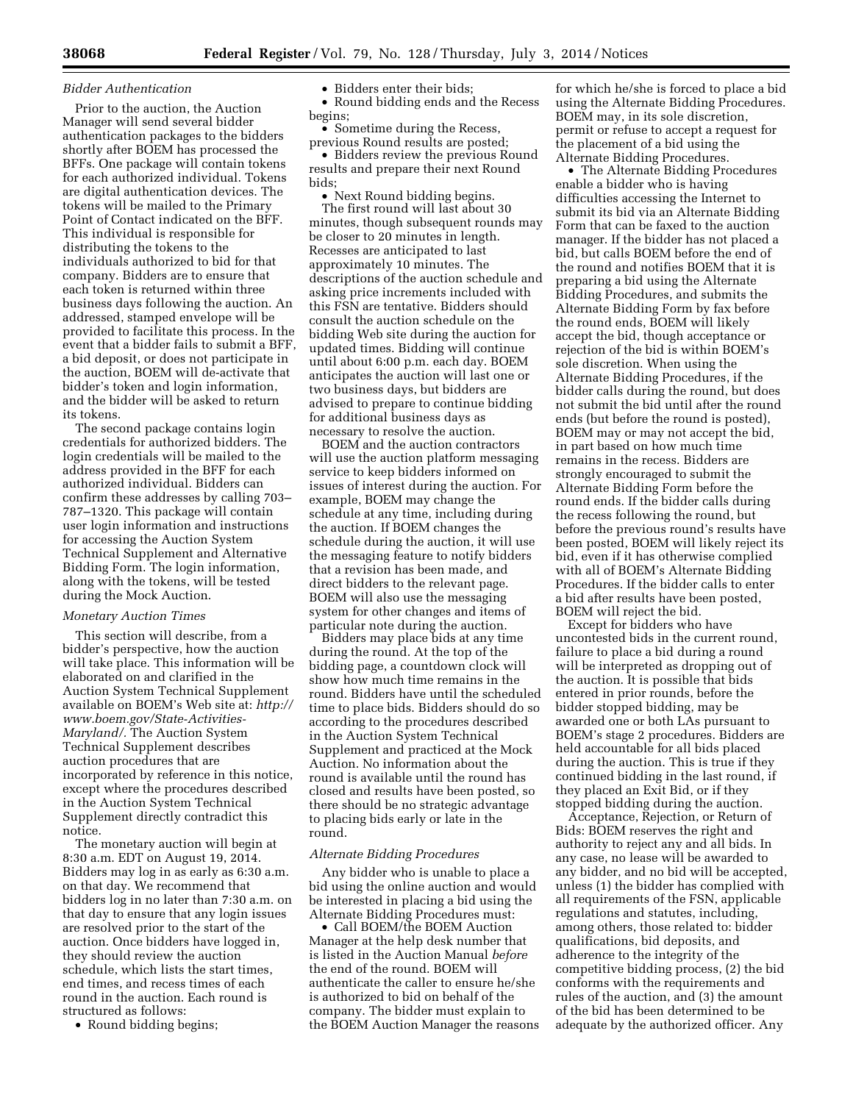#### *Bidder Authentication*

Prior to the auction, the Auction Manager will send several bidder authentication packages to the bidders shortly after BOEM has processed the BFFs. One package will contain tokens for each authorized individual. Tokens are digital authentication devices. The tokens will be mailed to the Primary Point of Contact indicated on the BFF. This individual is responsible for distributing the tokens to the individuals authorized to bid for that company. Bidders are to ensure that each token is returned within three business days following the auction. An addressed, stamped envelope will be provided to facilitate this process. In the event that a bidder fails to submit a BFF, a bid deposit, or does not participate in the auction, BOEM will de-activate that bidder's token and login information, and the bidder will be asked to return its tokens.

The second package contains login credentials for authorized bidders. The login credentials will be mailed to the address provided in the BFF for each authorized individual. Bidders can confirm these addresses by calling 703– 787–1320. This package will contain user login information and instructions for accessing the Auction System Technical Supplement and Alternative Bidding Form. The login information, along with the tokens, will be tested during the Mock Auction.

#### *Monetary Auction Times*

This section will describe, from a bidder's perspective, how the auction will take place. This information will be elaborated on and clarified in the Auction System Technical Supplement available on BOEM's Web site at: *[http://](http://www.boem.gov/State-Activities-Maryland/) [www.boem.gov/State-Activities-](http://www.boem.gov/State-Activities-Maryland/)[Maryland/.](http://www.boem.gov/State-Activities-Maryland/)* The Auction System Technical Supplement describes auction procedures that are incorporated by reference in this notice, except where the procedures described in the Auction System Technical Supplement directly contradict this notice.

The monetary auction will begin at 8:30 a.m. EDT on August 19, 2014. Bidders may log in as early as 6:30 a.m. on that day. We recommend that bidders log in no later than 7:30 a.m. on that day to ensure that any login issues are resolved prior to the start of the auction. Once bidders have logged in, they should review the auction schedule, which lists the start times, end times, and recess times of each round in the auction. Each round is structured as follows:

• Round bidding begins;

## • Bidders enter their bids:

• Round bidding ends and the Recess begins;

• Sometime during the Recess, previous Round results are posted;

• Bidders review the previous Round results and prepare their next Round bids;

• Next Round bidding begins. The first round will last about 30 minutes, though subsequent rounds may be closer to 20 minutes in length. Recesses are anticipated to last approximately 10 minutes. The descriptions of the auction schedule and asking price increments included with this FSN are tentative. Bidders should consult the auction schedule on the bidding Web site during the auction for updated times. Bidding will continue until about 6:00 p.m. each day. BOEM anticipates the auction will last one or two business days, but bidders are advised to prepare to continue bidding for additional business days as necessary to resolve the auction.

BOEM and the auction contractors will use the auction platform messaging service to keep bidders informed on issues of interest during the auction. For example, BOEM may change the schedule at any time, including during the auction. If BOEM changes the schedule during the auction, it will use the messaging feature to notify bidders that a revision has been made, and direct bidders to the relevant page. BOEM will also use the messaging system for other changes and items of particular note during the auction.

Bidders may place bids at any time during the round. At the top of the bidding page, a countdown clock will show how much time remains in the round. Bidders have until the scheduled time to place bids. Bidders should do so according to the procedures described in the Auction System Technical Supplement and practiced at the Mock Auction. No information about the round is available until the round has closed and results have been posted, so there should be no strategic advantage to placing bids early or late in the round.

#### *Alternate Bidding Procedures*

Any bidder who is unable to place a bid using the online auction and would be interested in placing a bid using the Alternate Bidding Procedures must:

• Call BOEM/the BOEM Auction Manager at the help desk number that is listed in the Auction Manual *before*  the end of the round. BOEM will authenticate the caller to ensure he/she is authorized to bid on behalf of the company. The bidder must explain to the BOEM Auction Manager the reasons

for which he/she is forced to place a bid using the Alternate Bidding Procedures. BOEM may, in its sole discretion, permit or refuse to accept a request for the placement of a bid using the Alternate Bidding Procedures.

• The Alternate Bidding Procedures enable a bidder who is having difficulties accessing the Internet to submit its bid via an Alternate Bidding Form that can be faxed to the auction manager. If the bidder has not placed a bid, but calls BOEM before the end of the round and notifies BOEM that it is preparing a bid using the Alternate Bidding Procedures, and submits the Alternate Bidding Form by fax before the round ends, BOEM will likely accept the bid, though acceptance or rejection of the bid is within BOEM's sole discretion. When using the Alternate Bidding Procedures, if the bidder calls during the round, but does not submit the bid until after the round ends (but before the round is posted), BOEM may or may not accept the bid, in part based on how much time remains in the recess. Bidders are strongly encouraged to submit the Alternate Bidding Form before the round ends. If the bidder calls during the recess following the round, but before the previous round's results have been posted, BOEM will likely reject its bid, even if it has otherwise complied with all of BOEM's Alternate Bidding Procedures. If the bidder calls to enter a bid after results have been posted, BOEM will reject the bid.

Except for bidders who have uncontested bids in the current round, failure to place a bid during a round will be interpreted as dropping out of the auction. It is possible that bids entered in prior rounds, before the bidder stopped bidding, may be awarded one or both LAs pursuant to BOEM's stage 2 procedures. Bidders are held accountable for all bids placed during the auction. This is true if they continued bidding in the last round, if they placed an Exit Bid, or if they stopped bidding during the auction.

Acceptance, Rejection, or Return of Bids: BOEM reserves the right and authority to reject any and all bids. In any case, no lease will be awarded to any bidder, and no bid will be accepted, unless (1) the bidder has complied with all requirements of the FSN, applicable regulations and statutes, including, among others, those related to: bidder qualifications, bid deposits, and adherence to the integrity of the competitive bidding process, (2) the bid conforms with the requirements and rules of the auction, and (3) the amount of the bid has been determined to be adequate by the authorized officer. Any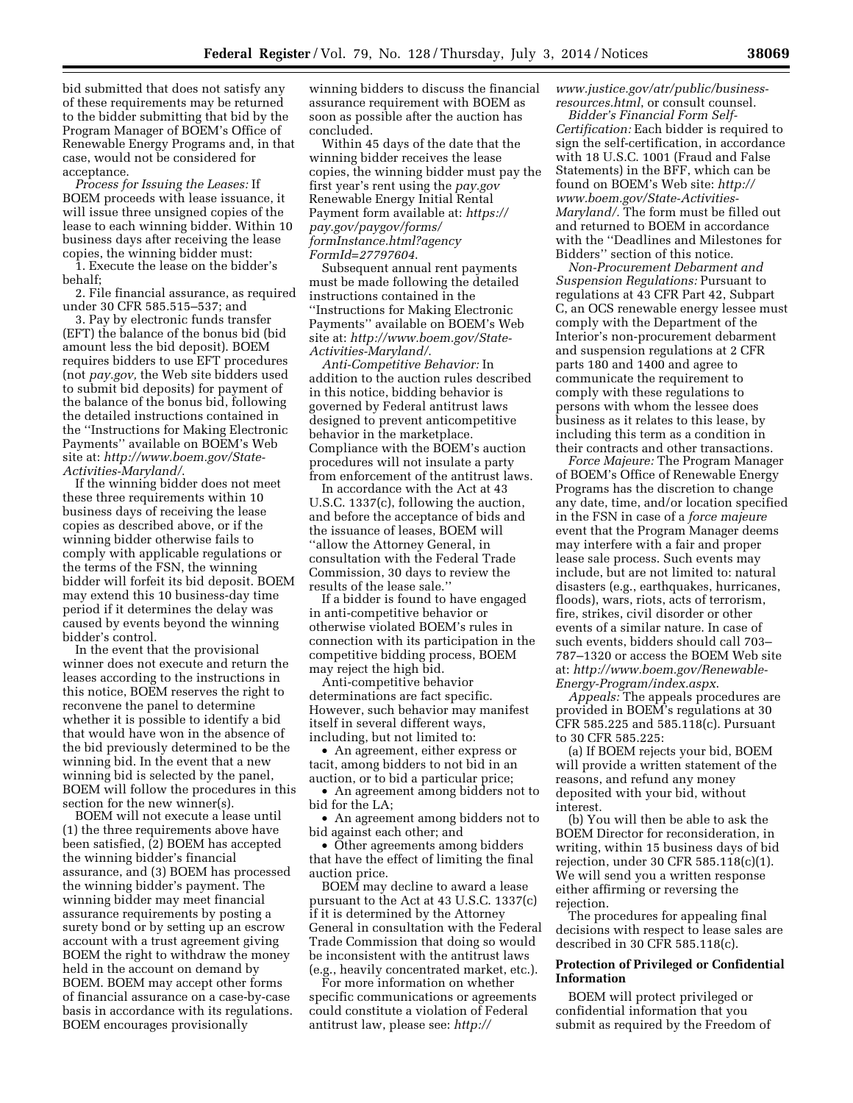bid submitted that does not satisfy any of these requirements may be returned to the bidder submitting that bid by the Program Manager of BOEM's Office of Renewable Energy Programs and, in that case, would not be considered for acceptance.

*Process for Issuing the Leases:* If BOEM proceeds with lease issuance, it will issue three unsigned copies of the lease to each winning bidder. Within 10 business days after receiving the lease copies, the winning bidder must:

1. Execute the lease on the bidder's behalf;

2. File financial assurance, as required under 30 CFR 585.515–537; and

3. Pay by electronic funds transfer (EFT) the balance of the bonus bid (bid amount less the bid deposit). BOEM requires bidders to use EFT procedures (not *pay.gov,* the Web site bidders used to submit bid deposits) for payment of the balance of the bonus bid, following the detailed instructions contained in the ''Instructions for Making Electronic Payments'' available on BOEM's Web site at: *[http://www.boem.gov/State-](http://www.boem.gov/State-Activities-Maryland/)[Activities-Maryland/](http://www.boem.gov/State-Activities-Maryland/)*.

If the winning bidder does not meet these three requirements within 10 business days of receiving the lease copies as described above, or if the winning bidder otherwise fails to comply with applicable regulations or the terms of the FSN, the winning bidder will forfeit its bid deposit. BOEM may extend this 10 business-day time period if it determines the delay was caused by events beyond the winning bidder's control.

In the event that the provisional winner does not execute and return the leases according to the instructions in this notice, BOEM reserves the right to reconvene the panel to determine whether it is possible to identify a bid that would have won in the absence of the bid previously determined to be the winning bid. In the event that a new winning bid is selected by the panel, BOEM will follow the procedures in this section for the new winner(s).

BOEM will not execute a lease until (1) the three requirements above have been satisfied, (2) BOEM has accepted the winning bidder's financial assurance, and (3) BOEM has processed the winning bidder's payment. The winning bidder may meet financial assurance requirements by posting a surety bond or by setting up an escrow account with a trust agreement giving BOEM the right to withdraw the money held in the account on demand by BOEM. BOEM may accept other forms of financial assurance on a case-by-case basis in accordance with its regulations. BOEM encourages provisionally

winning bidders to discuss the financial assurance requirement with BOEM as soon as possible after the auction has concluded.

Within 45 days of the date that the winning bidder receives the lease copies, the winning bidder must pay the first year's rent using the *pay.gov*  Renewable Energy Initial Rental Payment form available at: *[https://](https://pay.gov/paygov/forms/formInstance.html?agencyFormId=27797604)  [pay.gov/paygov/forms/](https://pay.gov/paygov/forms/formInstance.html?agencyFormId=27797604) [formInstance.html?agency](https://pay.gov/paygov/forms/formInstance.html?agencyFormId=27797604) [FormId=27797604](https://pay.gov/paygov/forms/formInstance.html?agencyFormId=27797604)*.

Subsequent annual rent payments must be made following the detailed instructions contained in the ''Instructions for Making Electronic Payments'' available on BOEM's Web site at: *[http://www.boem.gov/State-](http://www.boem.gov/State-Activities-Maryland/)[Activities-Maryland/](http://www.boem.gov/State-Activities-Maryland/)*.

*Anti-Competitive Behavior:* In addition to the auction rules described in this notice, bidding behavior is governed by Federal antitrust laws designed to prevent anticompetitive behavior in the marketplace. Compliance with the BOEM's auction procedures will not insulate a party from enforcement of the antitrust laws.

In accordance with the Act at 43 U.S.C. 1337(c), following the auction, and before the acceptance of bids and the issuance of leases, BOEM will ''allow the Attorney General, in consultation with the Federal Trade Commission, 30 days to review the results of the lease sale.''

If a bidder is found to have engaged in anti-competitive behavior or otherwise violated BOEM's rules in connection with its participation in the competitive bidding process, BOEM may reject the high bid.

Anti-competitive behavior determinations are fact specific. However, such behavior may manifest itself in several different ways, including, but not limited to:

• An agreement, either express or tacit, among bidders to not bid in an auction, or to bid a particular price;

• An agreement among bidders not to bid for the LA;

• An agreement among bidders not to bid against each other; and

• Other agreements among bidders that have the effect of limiting the final auction price.

BOEM may decline to award a lease pursuant to the Act at 43 U.S.C. 1337(c) if it is determined by the Attorney General in consultation with the Federal Trade Commission that doing so would be inconsistent with the antitrust laws (e.g., heavily concentrated market, etc.).

For more information on whether specific communications or agreements could constitute a violation of Federal antitrust law, please see: *[http://](http://www.justice.gov/atr/public/business-resources.html)*

*[www.justice.gov/atr/public/business](http://www.justice.gov/atr/public/business-resources.html)[resources.html](http://www.justice.gov/atr/public/business-resources.html)*, or consult counsel.

*Bidder's Financial Form Self-Certification:* Each bidder is required to sign the self-certification, in accordance with 18 U.S.C. 1001 (Fraud and False Statements) in the BFF, which can be found on BOEM's Web site: *[http://](http://www.boem.gov/State-Activities-Maryland/) [www.boem.gov/State-Activities-](http://www.boem.gov/State-Activities-Maryland/)[Maryland/.](http://www.boem.gov/State-Activities-Maryland/)* The form must be filled out and returned to BOEM in accordance with the ''Deadlines and Milestones for Bidders'' section of this notice.

*Non-Procurement Debarment and Suspension Regulations:* Pursuant to regulations at 43 CFR Part 42, Subpart C, an OCS renewable energy lessee must comply with the Department of the Interior's non-procurement debarment and suspension regulations at 2 CFR parts 180 and 1400 and agree to communicate the requirement to comply with these regulations to persons with whom the lessee does business as it relates to this lease, by including this term as a condition in their contracts and other transactions.

*Force Majeure:* The Program Manager of BOEM's Office of Renewable Energy Programs has the discretion to change any date, time, and/or location specified in the FSN in case of a *force majeure*  event that the Program Manager deems may interfere with a fair and proper lease sale process. Such events may include, but are not limited to: natural disasters (e.g., earthquakes, hurricanes, floods), wars, riots, acts of terrorism, fire, strikes, civil disorder or other events of a similar nature. In case of such events, bidders should call 703– 787–1320 or access the BOEM Web site at: *[http://www.boem.gov/Renewable-](http://www.boem.gov/Renewable-Energy-Program/index.aspx)[Energy-Program/index.aspx](http://www.boem.gov/Renewable-Energy-Program/index.aspx)*.

*Appeals:* The appeals procedures are provided in BOEM's regulations at 30 CFR 585.225 and 585.118(c). Pursuant to 30 CFR 585.225:

(a) If BOEM rejects your bid, BOEM will provide a written statement of the reasons, and refund any money deposited with your bid, without interest.

(b) You will then be able to ask the BOEM Director for reconsideration, in writing, within 15 business days of bid rejection, under 30 CFR 585.118(c)(1). We will send you a written response either affirming or reversing the rejection.

The procedures for appealing final decisions with respect to lease sales are described in 30 CFR 585.118(c).

# **Protection of Privileged or Confidential Information**

BOEM will protect privileged or confidential information that you submit as required by the Freedom of